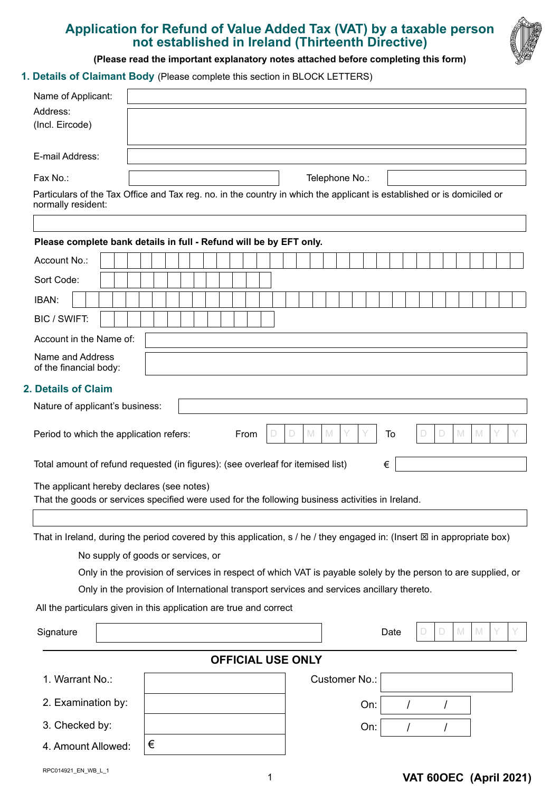# **Application for Refund of Value Added Tax (VAT) by a taxable person not established in Ireland (Thirteenth Directive)**



**(Please read the important explanatory notes attached before completing this form)**

**1. Details of Claimant Body** (Please complete this section in BLOCK LETTERS)

| Name of Applicant:                                                                                            |                                                                                                                                      |  |  |  |  |
|---------------------------------------------------------------------------------------------------------------|--------------------------------------------------------------------------------------------------------------------------------------|--|--|--|--|
| Address:                                                                                                      |                                                                                                                                      |  |  |  |  |
| (Incl. Eircode)                                                                                               |                                                                                                                                      |  |  |  |  |
| E-mail Address:                                                                                               |                                                                                                                                      |  |  |  |  |
| Fax No.:                                                                                                      | Telephone No.:                                                                                                                       |  |  |  |  |
|                                                                                                               | Particulars of the Tax Office and Tax reg. no. in the country in which the applicant is established or is domiciled or               |  |  |  |  |
| normally resident:                                                                                            |                                                                                                                                      |  |  |  |  |
|                                                                                                               | Please complete bank details in full - Refund will be by EFT only.                                                                   |  |  |  |  |
| Account No.:                                                                                                  |                                                                                                                                      |  |  |  |  |
| Sort Code:                                                                                                    |                                                                                                                                      |  |  |  |  |
|                                                                                                               |                                                                                                                                      |  |  |  |  |
| IBAN:<br>BIC / SWIFT:                                                                                         |                                                                                                                                      |  |  |  |  |
|                                                                                                               |                                                                                                                                      |  |  |  |  |
| Account in the Name of:                                                                                       |                                                                                                                                      |  |  |  |  |
| Name and Address<br>of the financial body:                                                                    |                                                                                                                                      |  |  |  |  |
| 2. Details of Claim                                                                                           |                                                                                                                                      |  |  |  |  |
| Nature of applicant's business:                                                                               |                                                                                                                                      |  |  |  |  |
| M<br>Period to which the application refers:<br>From<br>$\mathbb M$<br>To<br>D<br>M<br>$\mathbb{M}$<br>D<br>D |                                                                                                                                      |  |  |  |  |
| Total amount of refund requested (in figures): (see overleaf for itemised list)<br>€                          |                                                                                                                                      |  |  |  |  |
| The applicant hereby declares (see notes)                                                                     |                                                                                                                                      |  |  |  |  |
| That the goods or services specified were used for the following business activities in Ireland.              |                                                                                                                                      |  |  |  |  |
|                                                                                                               |                                                                                                                                      |  |  |  |  |
|                                                                                                               | That in Ireland, during the period covered by this application, $s / he / t$ hey engaged in: (Insert $\boxtimes$ in appropriate box) |  |  |  |  |
|                                                                                                               | No supply of goods or services, or                                                                                                   |  |  |  |  |
|                                                                                                               | Only in the provision of services in respect of which VAT is payable solely by the person to are supplied, or                        |  |  |  |  |
|                                                                                                               | Only in the provision of International transport services and services ancillary thereto.                                            |  |  |  |  |
|                                                                                                               | All the particulars given in this application are true and correct                                                                   |  |  |  |  |
| Signature                                                                                                     | M<br>$\mathbb N$<br>Date<br>D                                                                                                        |  |  |  |  |
|                                                                                                               | <b>OFFICIAL USE ONLY</b>                                                                                                             |  |  |  |  |
| 1. Warrant No.:                                                                                               | Customer No.:                                                                                                                        |  |  |  |  |
| 2. Examination by:                                                                                            | On:<br>I                                                                                                                             |  |  |  |  |
| 3. Checked by:                                                                                                | On:                                                                                                                                  |  |  |  |  |
| 4. Amount Allowed:                                                                                            | €                                                                                                                                    |  |  |  |  |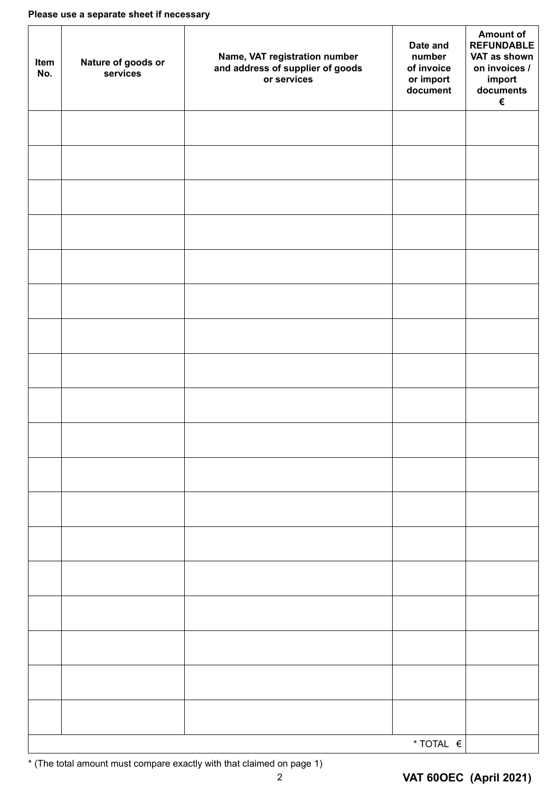| Item<br>No. | Nature of goods or<br>services | Name, VAT registration number<br>and address of supplier of goods<br>or services | Date and<br>number<br>of invoice<br>or import<br>document | <b>Amount of</b><br><b>REFUNDABLE</b><br>VAT as shown<br>on invoices /<br>import<br>documents<br>€ |
|-------------|--------------------------------|----------------------------------------------------------------------------------|-----------------------------------------------------------|----------------------------------------------------------------------------------------------------|
|             |                                |                                                                                  |                                                           |                                                                                                    |
|             |                                |                                                                                  |                                                           |                                                                                                    |
|             |                                |                                                                                  |                                                           |                                                                                                    |
|             |                                |                                                                                  |                                                           |                                                                                                    |
|             |                                |                                                                                  |                                                           |                                                                                                    |
|             |                                |                                                                                  |                                                           |                                                                                                    |
|             |                                |                                                                                  |                                                           |                                                                                                    |
|             |                                |                                                                                  |                                                           |                                                                                                    |
|             |                                |                                                                                  |                                                           |                                                                                                    |
|             |                                |                                                                                  |                                                           |                                                                                                    |
|             |                                |                                                                                  |                                                           |                                                                                                    |
|             |                                |                                                                                  |                                                           |                                                                                                    |
|             |                                |                                                                                  |                                                           |                                                                                                    |
|             |                                |                                                                                  |                                                           |                                                                                                    |
|             |                                |                                                                                  |                                                           |                                                                                                    |
|             |                                |                                                                                  |                                                           |                                                                                                    |
|             |                                |                                                                                  |                                                           |                                                                                                    |
|             |                                |                                                                                  |                                                           |                                                                                                    |
|             |                                |                                                                                  | * TOTAL €                                                 |                                                                                                    |

\* (The total amount must compare exactly with that claimed on page 1)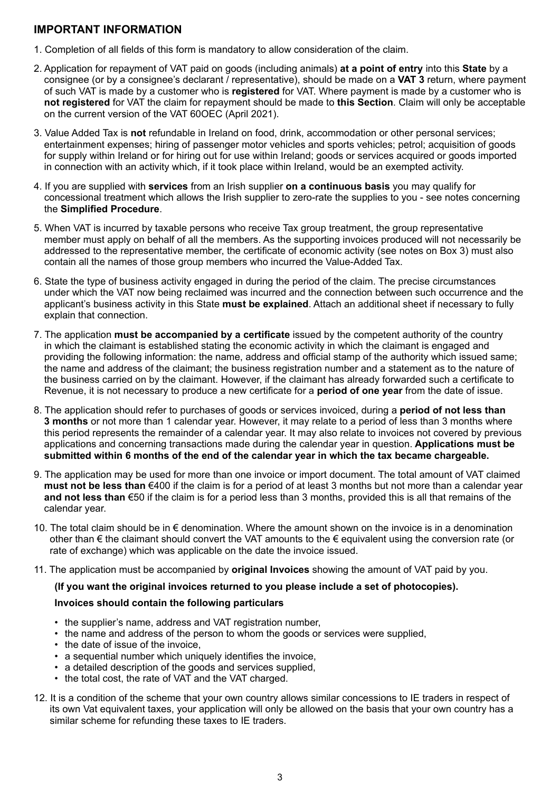## **IMPORTANT INFORMATION**

- 1. Completion of all fields of this form is mandatory to allow consideration of the claim.
- 2. Application for repayment of VAT paid on goods (including animals) **at a point of entry** into this **State** by a consignee (or by a consignee's declarant / representative), should be made on a **VAT 3** return, where payment of such VAT is made by a customer who is **registered** for VAT. Where payment is made by a customer who is **not registered** for VAT the claim for repayment should be made to **this Section**. Claim will only be acceptable on the current version of the VAT 60OEC (April 2021).
- 3. Value Added Tax is **not** refundable in Ireland on food, drink, accommodation or other personal services; entertainment expenses; hiring of passenger motor vehicles and sports vehicles; petrol; acquisition of goods for supply within Ireland or for hiring out for use within Ireland; goods or services acquired or goods imported in connection with an activity which, if it took place within Ireland, would be an exempted activity.
- 4. If you are supplied with **services** from an Irish supplier **on a continuous basis** you may qualify for concessional treatment which allows the Irish supplier to zero-rate the supplies to you - see notes concerning the **Simplified Procedure**.
- 5. When VAT is incurred by taxable persons who receive Tax group treatment, the group representative member must apply on behalf of all the members. As the supporting invoices produced will not necessarily be addressed to the representative member, the certificate of economic activity (see notes on Box 3) must also contain all the names of those group members who incurred the Value-Added Tax.
- 6. State the type of business activity engaged in during the period of the claim. The precise circumstances under which the VAT now being reclaimed was incurred and the connection between such occurrence and the applicant's business activity in this State **must be explained**. Attach an additional sheet if necessary to fully explain that connection.
- 7. The application **must be accompanied by a certificate** issued by the competent authority of the country in which the claimant is established stating the economic activity in which the claimant is engaged and providing the following information: the name, address and official stamp of the authority which issued same; the name and address of the claimant; the business registration number and a statement as to the nature of the business carried on by the claimant. However, if the claimant has already forwarded such a certificate to Revenue, it is not necessary to produce a new certificate for a **period of one year** from the date of issue.
- 8. The application should refer to purchases of goods or services invoiced, during a **period of not less than 3 months** or not more than 1 calendar year. However, it may relate to a period of less than 3 months where this period represents the remainder of a calendar year. It may also relate to invoices not covered by previous applications and concerning transactions made during the calendar year in question. **Applications must be submitted within 6 months of the end of the calendar year in which the tax became chargeable.**
- 9. The application may be used for more than one invoice or import document. The total amount of VAT claimed **must not be less than** €400 if the claim is for a period of at least 3 months but not more than a calendar year **and not less than** €50 if the claim is for a period less than 3 months, provided this is all that remains of the calendar year.
- 10. The total claim should be in € denomination. Where the amount shown on the invoice is in a denomination other than € the claimant should convert the VAT amounts to the € equivalent using the conversion rate (or rate of exchange) which was applicable on the date the invoice issued.
- 11. The application must be accompanied by **original Invoices** showing the amount of VAT paid by you.

#### **(If you want the original invoices returned to you please include a set of photocopies).**

#### **Invoices should contain the following particulars**

- the supplier's name, address and VAT registration number,
- the name and address of the person to whom the goods or services were supplied,
- the date of issue of the invoice.
- a sequential number which uniquely identifies the invoice,
- a detailed description of the goods and services supplied,
- the total cost, the rate of VAT and the VAT charged.
- 12. It is a condition of the scheme that your own country allows similar concessions to IE traders in respect of its own Vat equivalent taxes, your application will only be allowed on the basis that your own country has a similar scheme for refunding these taxes to IE traders.